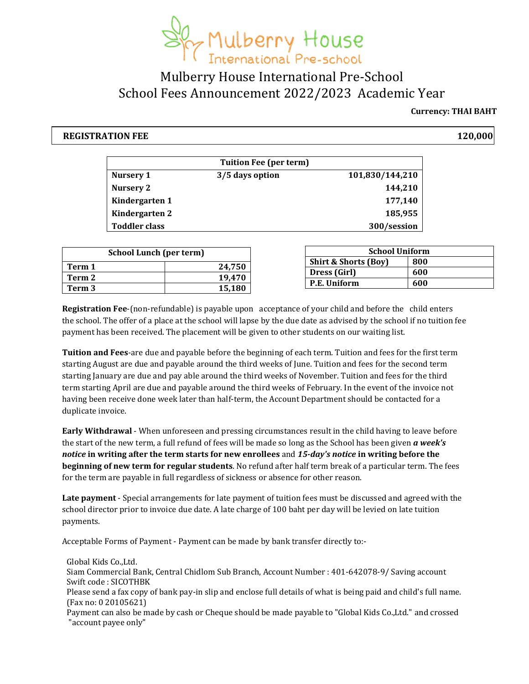

### Mulberry House International Pre-School School Fees Announcement 2022/2023 Academic Year

#### **Currency: THAI BAHT**

#### **REGISTRATION FEE 120,000**

| <b>Tuition Fee (per term)</b> |                 |                 |  |
|-------------------------------|-----------------|-----------------|--|
| Nursery 1                     | 3/5 days option | 101,830/144,210 |  |
| <b>Nursery 2</b>              |                 | 144,210         |  |
| Kindergarten 1                |                 | 177,140         |  |
| Kindergarten 2                |                 | 185,955         |  |
| <b>Toddler class</b>          |                 | 300/session     |  |

| <b>School Lunch (per term)</b> |        |  |
|--------------------------------|--------|--|
| Term 1                         | 24,750 |  |
| Term 2                         | 19.470 |  |
| Term 3                         | 15,180 |  |

| <b>School Uniform</b>           |     |  |  |
|---------------------------------|-----|--|--|
| <b>Shirt &amp; Shorts (Boy)</b> | 800 |  |  |
| Dress (Girl)                    | 600 |  |  |
| P.E. Uniform                    | 600 |  |  |

**Registration Fee**-(non-refundable) is payable upon acceptance of your child and before the child enters the school. The offer of a place at the school will lapse by the due date as advised by the school if no tuition fee payment has been received. The placement will be given to other students on our waiting list.

**Tuition and Fees**-are due and payable before the beginning of each term. Tuition and fees for the first term starting August are due and payable around the third weeks of June. Tuition and fees for the second term starting January are due and pay able around the third weeks of November. Tuition and fees for the third term starting April are due and payable around the third weeks of February. In the event of the invoice not having been receive done week later than half-term, the Account Department should be contacted for a duplicate invoice.

**Early Withdrawal** - When unforeseen and pressing circumstances result in the child having to leave before the start of the new term, a full refund of fees will be made so long as the School has been given *a week's notice* **in writing after the term starts for new enrollees** and *15-day's notice* **in writing before the beginning of new term for regular students**. No refund after half term break of a particular term. The fees for the term are payable in full regardless of sickness or absence for other reason.

**Late payment** - Special arrangements for late payment of tuition fees must be discussed and agreed with the school director prior to invoice due date. A late charge of 100 baht per day will be levied on late tuition payments.

Acceptable Forms of Payment - Payment can be made by bank transfer directly to:-

Global Kids Co.,Ltd. Siam Commercial Bank, Central Chidlom Sub Branch, Account Number : 401-642078-9/ Saving account Swift code : SICOTHBK Please send a fax copy of bank pay-in slip and enclose full details of what is being paid and child's full name. (Fax no: 0 20105621)

Payment can also be made by cash or Cheque should be made payable to "Global Kids Co.,Ltd." and crossed "account payee only"